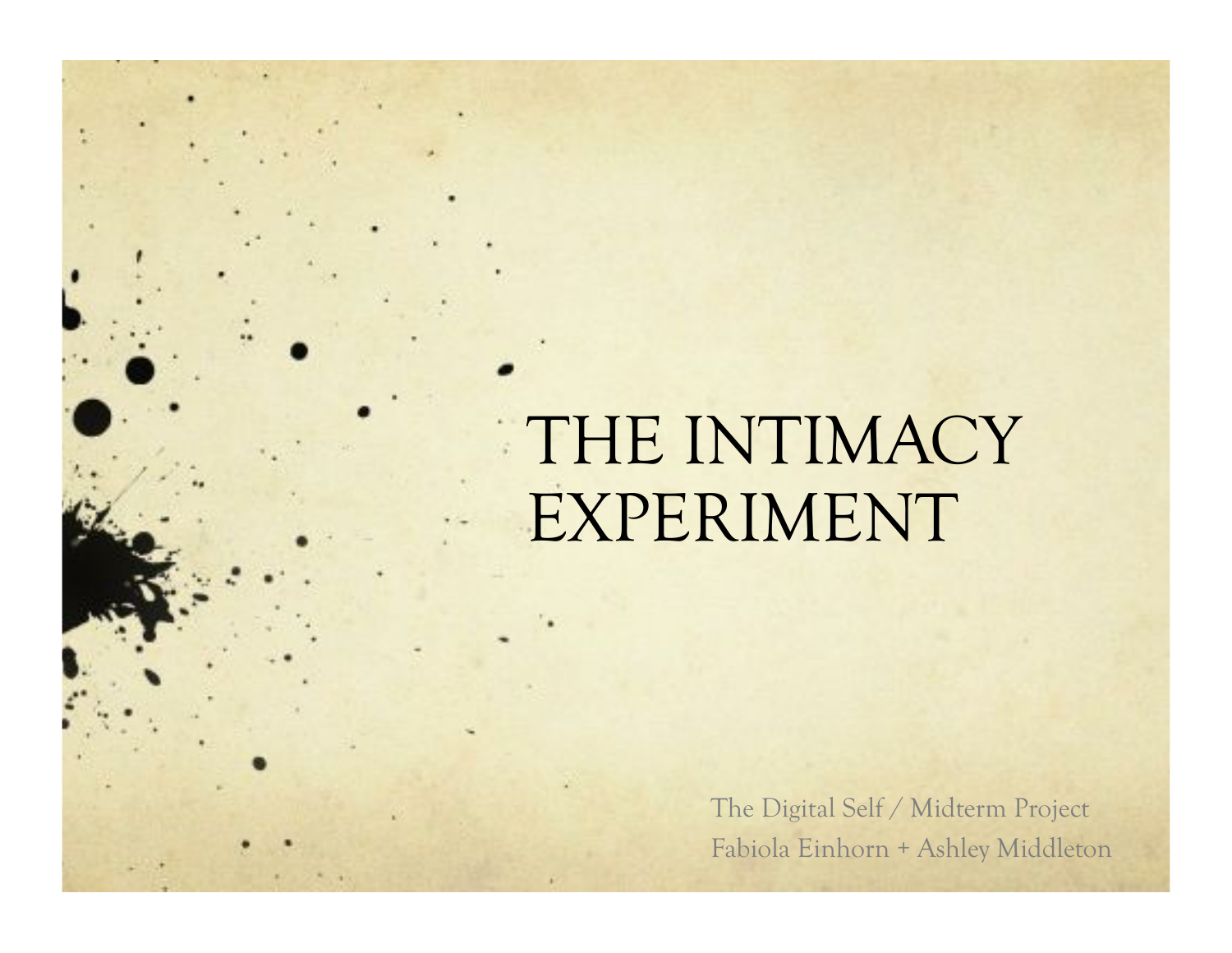## THE INTIMACY EXPERIMENT

The Digital Self / Midterm Project Fabiola Einhorn + Ashley Middleton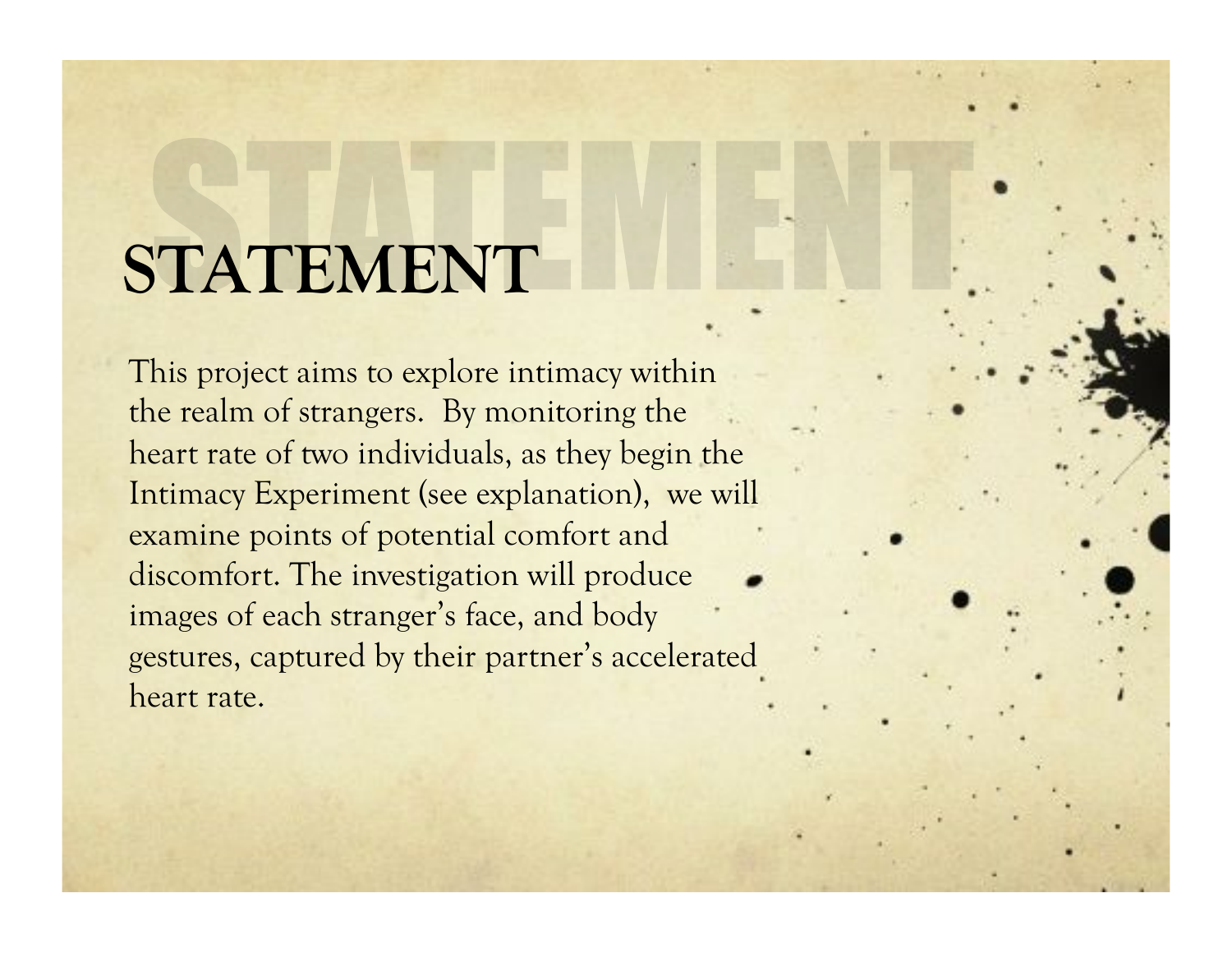#### **STATEMENT**

This project aims to explore intimacy within the realm of strangers. By monitoring the heart rate of two individuals, as they begin the Intimacy Experiment (see explanation), we will examine points of potential comfort and discomfort. The investigation will produce images of each stranger's face, and body gestures, captured by their partner's accelerated heart rate.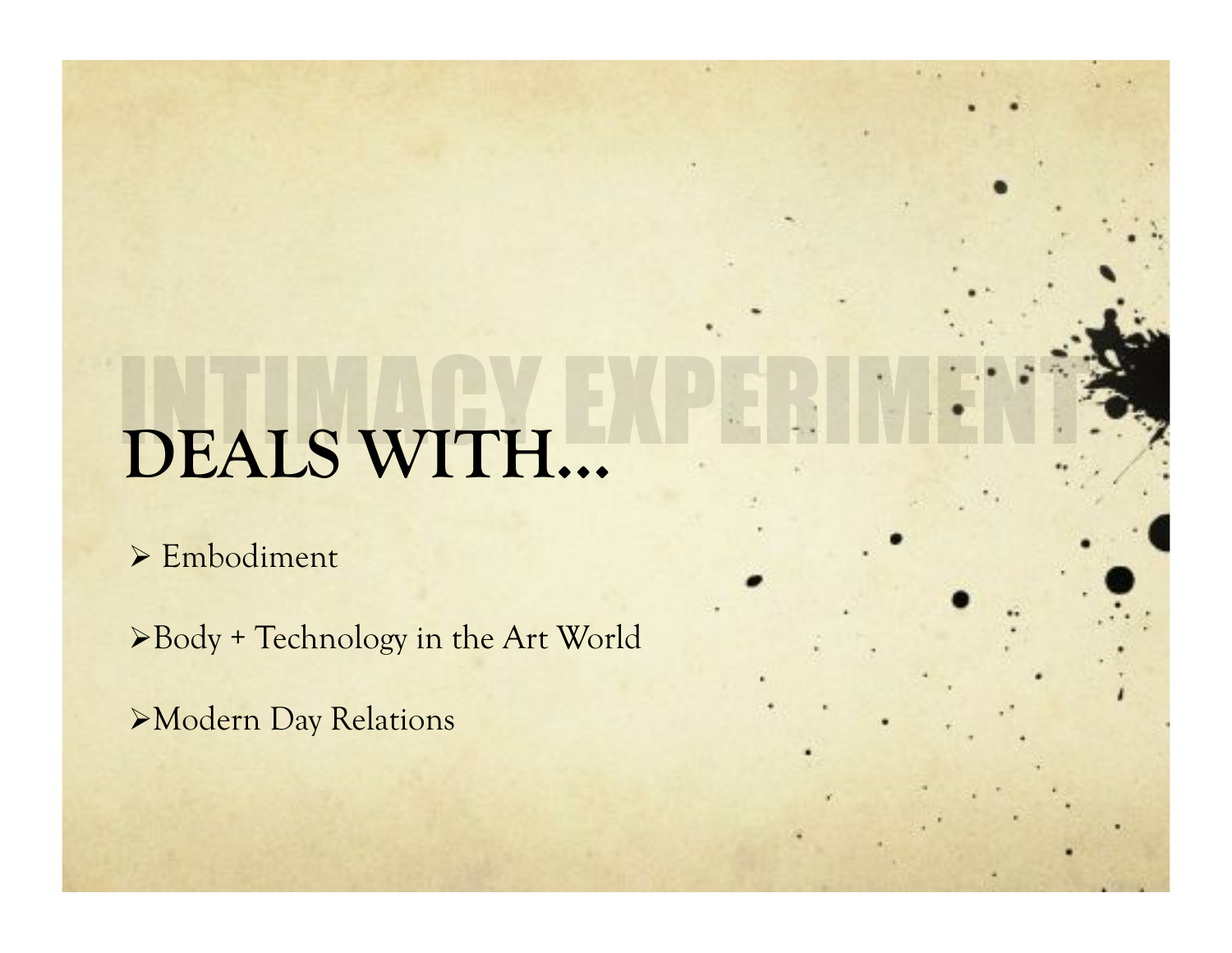# **DEALS WITH…**

> Embodiment

Body + Technology in the Art World

Modern Day Relations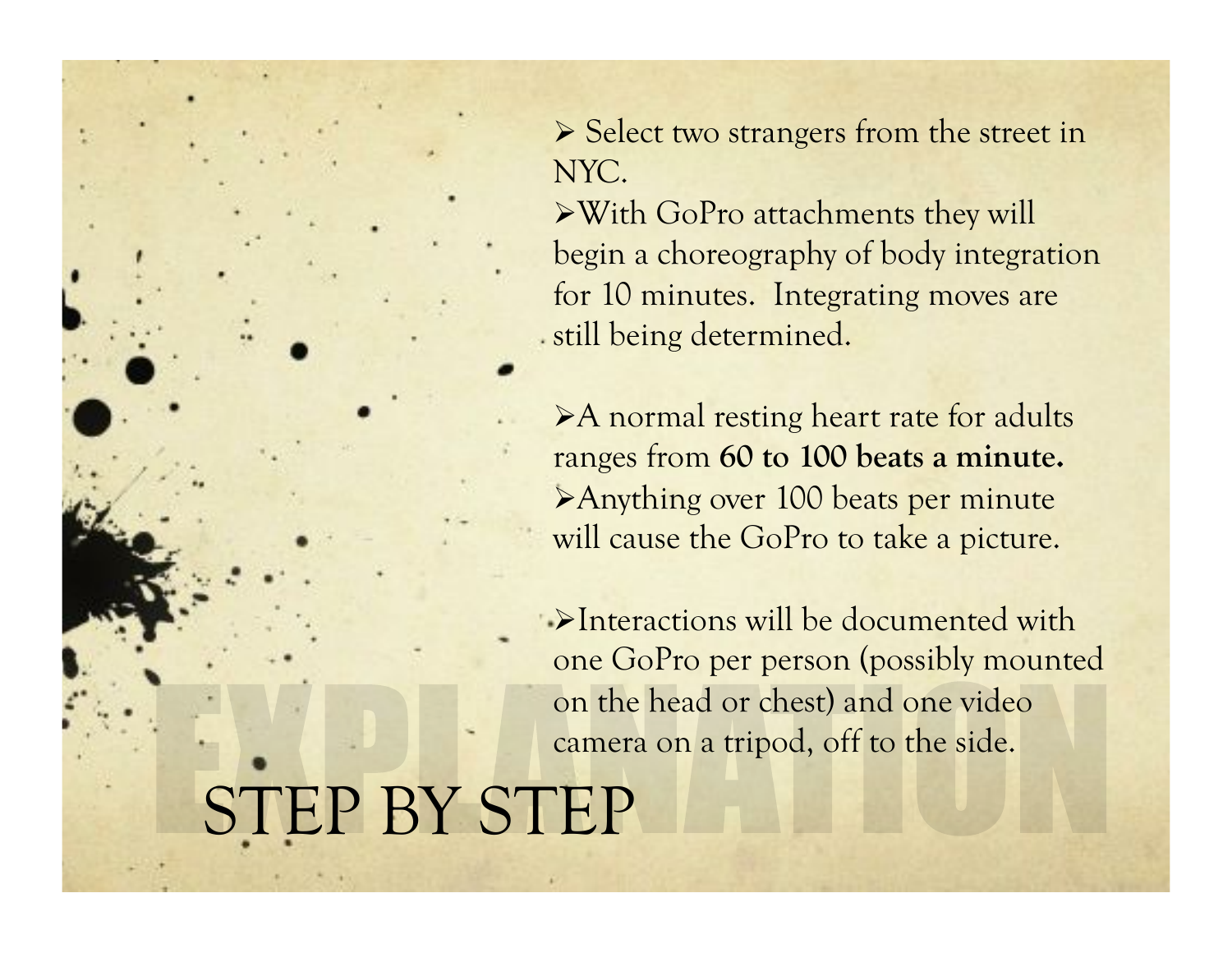- $\triangleright$  Select two strangers from the street in NYC.
- With GoPro attachments they will begin a choreography of body integration for 10 minutes. Integrating moves are still being determined.
- A normal resting heart rate for adults ranges from **60 to 100 beats a minute.**  Anything over 100 beats per minute will cause the GoPro to take a picture.
- Interactions will be documented with one GoPro per person (possibly mounted on the head or chest) and one video camera on a tripod, off to the side.

#### STEP BY STEP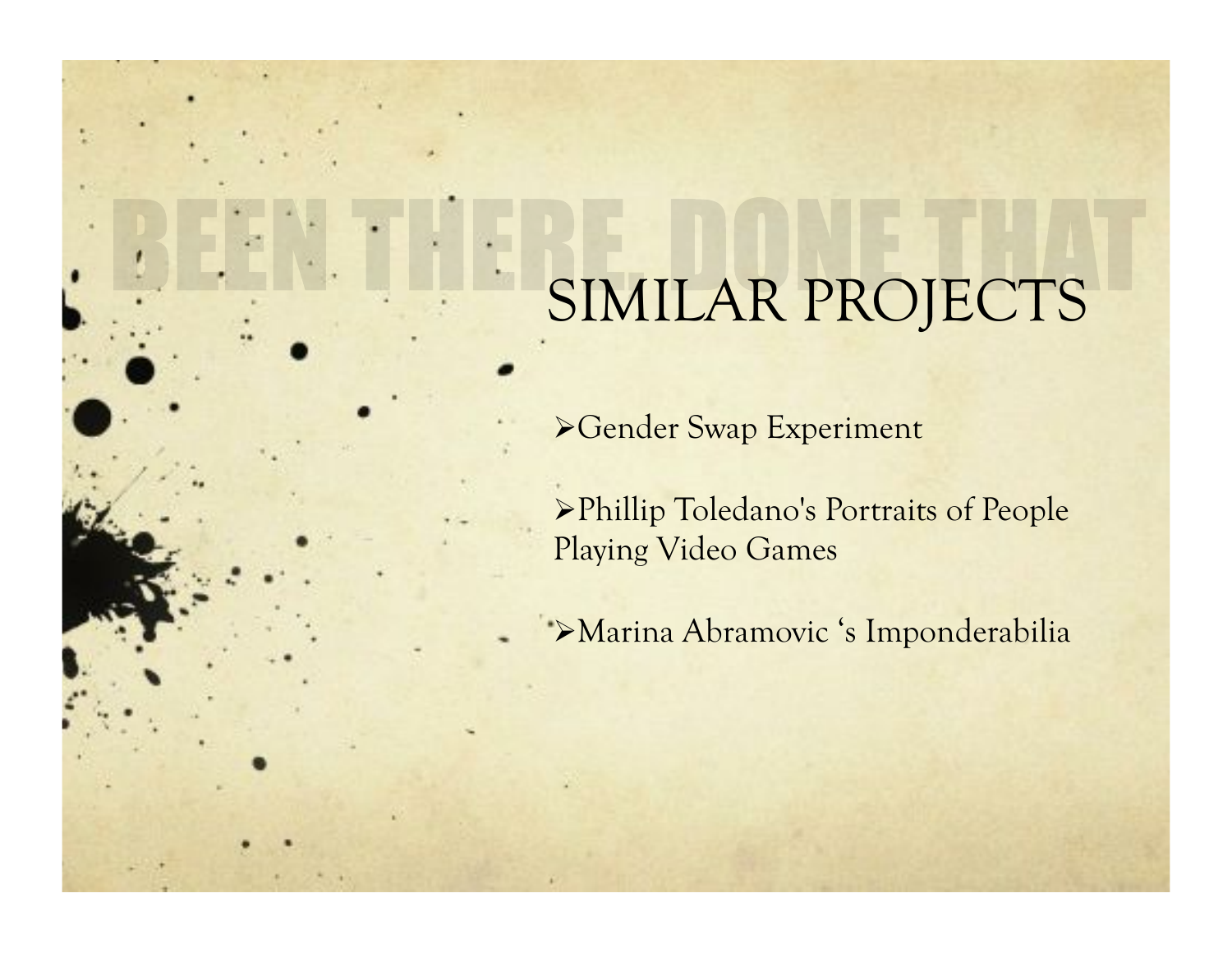#### SIMILAR PROJECTS

Gender Swap Experiment

Phillip Toledano's Portraits of People Playing Video Games

Marina Abramovic 's Imponderabilia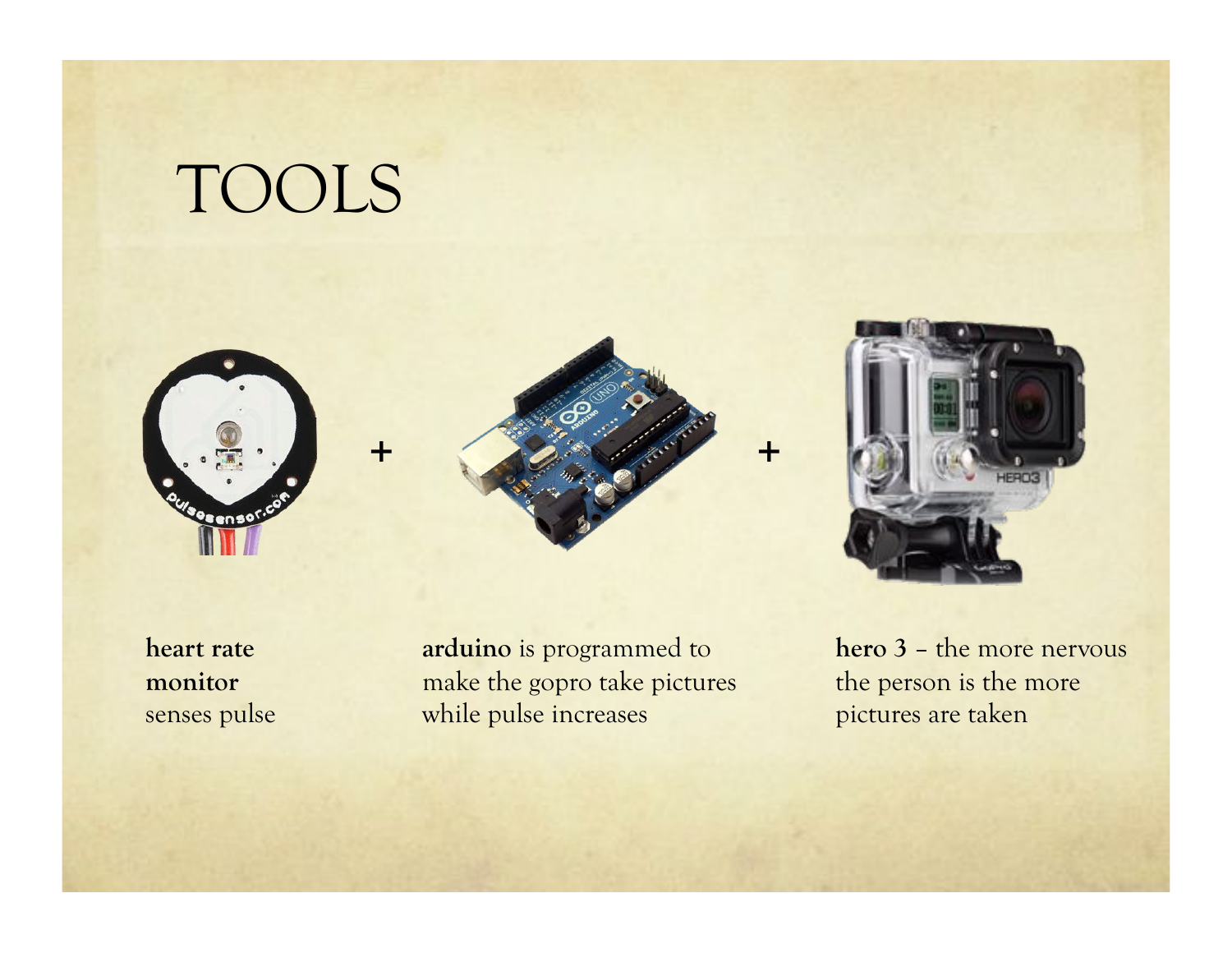## TOOLS

-







**heart rate monitor**  senses pulse

**arduino** is programmed to make the gopro take pictures while pulse increases

**hero 3** – the more nervous the person is the more pictures are taken